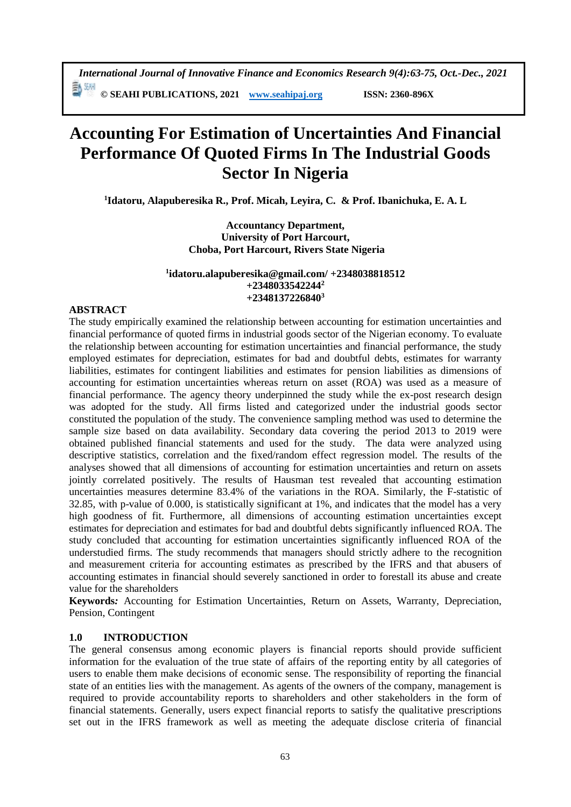**© SEAHI PUBLICATIONS, 2021 [www.seahipaj.org](http://www.seahipaj.org/) ISSN: 2360-896X**

# **Accounting For Estimation of Uncertainties And Financial Performance Of Quoted Firms In The Industrial Goods Sector In Nigeria**

**1 Idatoru, Alapuberesika R., Prof. Micah, Leyira, C. & Prof. Ibanichuka, E. A. L** 

**Accountancy Department, University of Port Harcourt, Choba, Port Harcourt, Rivers State Nigeria**

#### **1 idatoru.alapuberesika@gmail.com/ +2348038818512 +2348033542244<sup>2</sup> +2348137226840<sup>3</sup>**

#### **ABSTRACT**

The study empirically examined the relationship between accounting for estimation uncertainties and financial performance of quoted firms in industrial goods sector of the Nigerian economy. To evaluate the relationship between accounting for estimation uncertainties and financial performance, the study employed estimates for depreciation, estimates for bad and doubtful debts, estimates for warranty liabilities, estimates for contingent liabilities and estimates for pension liabilities as dimensions of accounting for estimation uncertainties whereas return on asset (ROA) was used as a measure of financial performance. The agency theory underpinned the study while the ex-post research design was adopted for the study. All firms listed and categorized under the industrial goods sector constituted the population of the study. The convenience sampling method was used to determine the sample size based on data availability. Secondary data covering the period 2013 to 2019 were obtained published financial statements and used for the study. The data were analyzed using descriptive statistics, correlation and the fixed/random effect regression model. The results of the analyses showed that all dimensions of accounting for estimation uncertainties and return on assets jointly correlated positively. The results of Hausman test revealed that accounting estimation uncertainties measures determine 83.4% of the variations in the ROA. Similarly, the F-statistic of 32.85, with p-value of 0.000, is statistically significant at 1%, and indicates that the model has a very high goodness of fit. Furthermore, all dimensions of accounting estimation uncertainties except estimates for depreciation and estimates for bad and doubtful debts significantly influenced ROA. The study concluded that accounting for estimation uncertainties significantly influenced ROA of the understudied firms. The study recommends that managers should strictly adhere to the recognition and measurement criteria for accounting estimates as prescribed by the IFRS and that abusers of accounting estimates in financial should severely sanctioned in order to forestall its abuse and create value for the shareholders

**Keywords***:* Accounting for Estimation Uncertainties, Return on Assets, Warranty, Depreciation, Pension, Contingent

#### **1.0 INTRODUCTION**

The general consensus among economic players is financial reports should provide sufficient information for the evaluation of the true state of affairs of the reporting entity by all categories of users to enable them make decisions of economic sense. The responsibility of reporting the financial state of an entities lies with the management. As agents of the owners of the company, management is required to provide accountability reports to shareholders and other stakeholders in the form of financial statements. Generally, users expect financial reports to satisfy the qualitative prescriptions set out in the IFRS framework as well as meeting the adequate disclose criteria of financial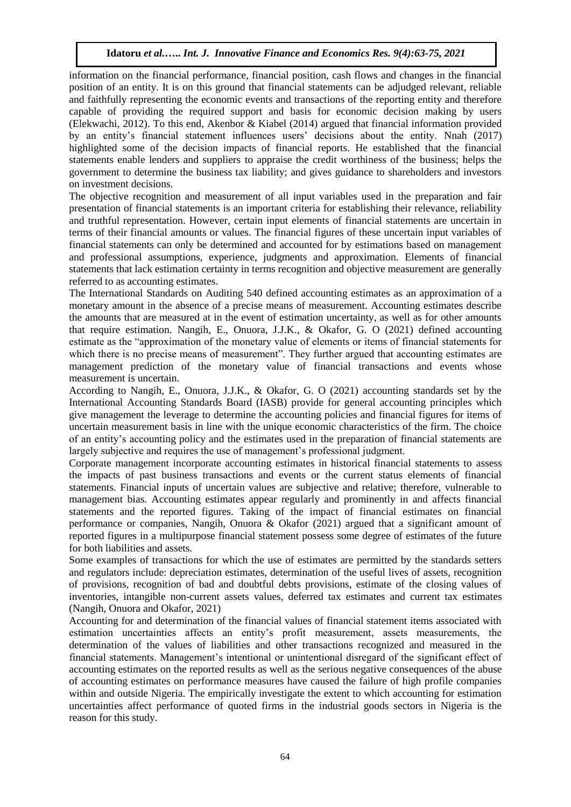information on the financial performance, financial position, cash flows and changes in the financial position of an entity. It is on this ground that financial statements can be adjudged relevant, reliable and faithfully representing the economic events and transactions of the reporting entity and therefore capable of providing the required support and basis for economic decision making by users (Elekwachi, 2012). To this end, Akenbor & Kiabel (2014) argued that financial information provided by an entity's financial statement influences users' decisions about the entity. Nnah (2017) highlighted some of the decision impacts of financial reports. He established that the financial statements enable lenders and suppliers to appraise the credit worthiness of the business; helps the government to determine the business tax liability; and gives guidance to shareholders and investors on investment decisions.

The objective recognition and measurement of all input variables used in the preparation and fair presentation of financial statements is an important criteria for establishing their relevance, reliability and truthful representation. However, certain input elements of financial statements are uncertain in terms of their financial amounts or values. The financial figures of these uncertain input variables of financial statements can only be determined and accounted for by estimations based on management and professional assumptions, experience, judgments and approximation. Elements of financial statements that lack estimation certainty in terms recognition and objective measurement are generally referred to as accounting estimates.

The International Standards on Auditing 540 defined accounting estimates as an approximation of a monetary amount in the absence of a precise means of measurement. Accounting estimates describe the amounts that are measured at in the event of estimation uncertainty, as well as for other amounts that require estimation. Nangih, E., Onuora, J.J.K., & Okafor, G. O (2021) defined accounting estimate as the "approximation of the monetary value of elements or items of financial statements for which there is no precise means of measurement". They further argued that accounting estimates are management prediction of the monetary value of financial transactions and events whose measurement is uncertain.

According to Nangih, E., Onuora, J.J.K., & Okafor, G. O (2021) accounting standards set by the International Accounting Standards Board (IASB) provide for general accounting principles which give management the leverage to determine the accounting policies and financial figures for items of uncertain measurement basis in line with the unique economic characteristics of the firm. The choice of an entity's accounting policy and the estimates used in the preparation of financial statements are largely subjective and requires the use of management's professional judgment.

Corporate management incorporate accounting estimates in historical financial statements to assess the impacts of past business transactions and events or the current status elements of financial statements. Financial inputs of uncertain values are subjective and relative; therefore, vulnerable to management bias. Accounting estimates appear regularly and prominently in and affects financial statements and the reported figures. Taking of the impact of financial estimates on financial performance or companies, Nangih, Onuora & Okafor (2021) argued that a significant amount of reported figures in a multipurpose financial statement possess some degree of estimates of the future for both liabilities and assets.

Some examples of transactions for which the use of estimates are permitted by the standards setters and regulators include: depreciation estimates, determination of the useful lives of assets, recognition of provisions, recognition of bad and doubtful debts provisions, estimate of the closing values of inventories, intangible non-current assets values, deferred tax estimates and current tax estimates (Nangih, Onuora and Okafor, 2021)

Accounting for and determination of the financial values of financial statement items associated with estimation uncertainties affects an entity's profit measurement, assets measurements, the determination of the values of liabilities and other transactions recognized and measured in the financial statements. Management's intentional or unintentional disregard of the significant effect of accounting estimates on the reported results as well as the serious negative consequences of the abuse of accounting estimates on performance measures have caused the failure of high profile companies within and outside Nigeria. The empirically investigate the extent to which accounting for estimation uncertainties affect performance of quoted firms in the industrial goods sectors in Nigeria is the reason for this study.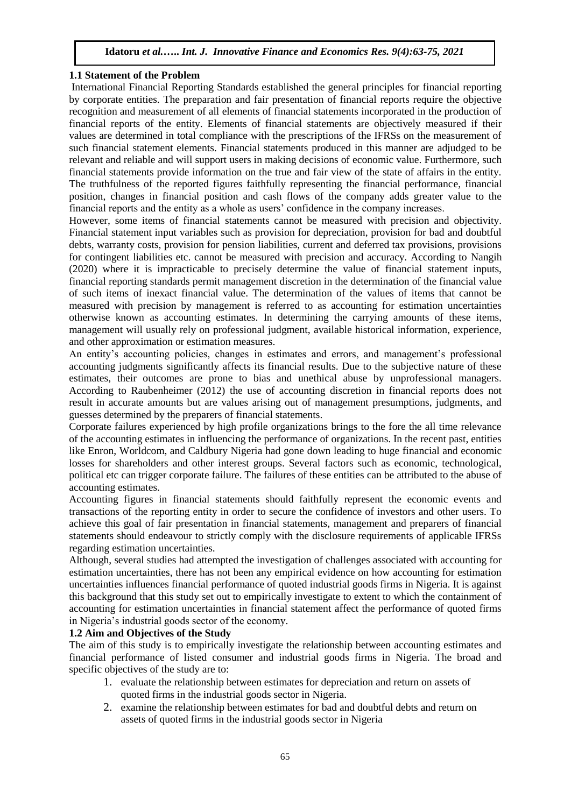#### **1.1 Statement of the Problem**

International Financial Reporting Standards established the general principles for financial reporting by corporate entities. The preparation and fair presentation of financial reports require the objective recognition and measurement of all elements of financial statements incorporated in the production of financial reports of the entity. Elements of financial statements are objectively measured if their values are determined in total compliance with the prescriptions of the IFRSs on the measurement of such financial statement elements. Financial statements produced in this manner are adjudged to be relevant and reliable and will support users in making decisions of economic value. Furthermore, such financial statements provide information on the true and fair view of the state of affairs in the entity. The truthfulness of the reported figures faithfully representing the financial performance, financial position, changes in financial position and cash flows of the company adds greater value to the financial reports and the entity as a whole as users' confidence in the company increases.

However, some items of financial statements cannot be measured with precision and objectivity. Financial statement input variables such as provision for depreciation, provision for bad and doubtful debts, warranty costs, provision for pension liabilities, current and deferred tax provisions, provisions for contingent liabilities etc. cannot be measured with precision and accuracy. According to Nangih (2020) where it is impracticable to precisely determine the value of financial statement inputs, financial reporting standards permit management discretion in the determination of the financial value of such items of inexact financial value. The determination of the values of items that cannot be measured with precision by management is referred to as accounting for estimation uncertainties otherwise known as accounting estimates. In determining the carrying amounts of these items, management will usually rely on professional judgment, available historical information, experience, and other approximation or estimation measures.

An entity's accounting policies, changes in estimates and errors, and management's professional accounting judgments significantly affects its financial results. Due to the subjective nature of these estimates, their outcomes are prone to bias and unethical abuse by unprofessional managers. According to Raubenheimer (2012) the use of accounting discretion in financial reports does not result in accurate amounts but are values arising out of management presumptions, judgments, and guesses determined by the preparers of financial statements.

Corporate failures experienced by high profile organizations brings to the fore the all time relevance of the accounting estimates in influencing the performance of organizations. In the recent past, entities like Enron, Worldcom, and Caldbury Nigeria had gone down leading to huge financial and economic losses for shareholders and other interest groups. Several factors such as economic, technological, political etc can trigger corporate failure. The failures of these entities can be attributed to the abuse of accounting estimates.

Accounting figures in financial statements should faithfully represent the economic events and transactions of the reporting entity in order to secure the confidence of investors and other users. To achieve this goal of fair presentation in financial statements, management and preparers of financial statements should endeavour to strictly comply with the disclosure requirements of applicable IFRSs regarding estimation uncertainties.

Although, several studies had attempted the investigation of challenges associated with accounting for estimation uncertainties, there has not been any empirical evidence on how accounting for estimation uncertainties influences financial performance of quoted industrial goods firms in Nigeria. It is against this background that this study set out to empirically investigate to extent to which the containment of accounting for estimation uncertainties in financial statement affect the performance of quoted firms in Nigeria's industrial goods sector of the economy.

#### **1.2 Aim and Objectives of the Study**

The aim of this study is to empirically investigate the relationship between accounting estimates and financial performance of listed consumer and industrial goods firms in Nigeria. The broad and specific objectives of the study are to:

- 1. evaluate the relationship between estimates for depreciation and return on assets of quoted firms in the industrial goods sector in Nigeria.
- 2. examine the relationship between estimates for bad and doubtful debts and return on assets of quoted firms in the industrial goods sector in Nigeria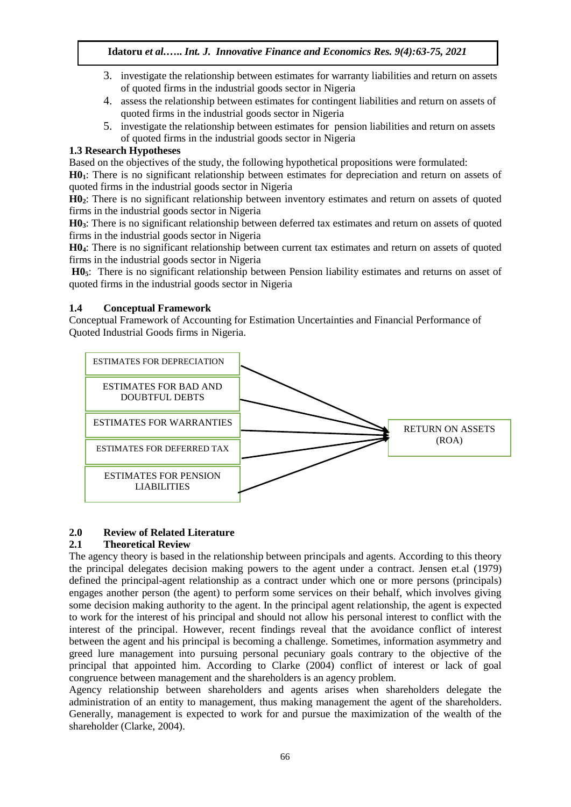- 3. investigate the relationship between estimates for warranty liabilities and return on assets of quoted firms in the industrial goods sector in Nigeria
- 4. assess the relationship between estimates for contingent liabilities and return on assets of quoted firms in the industrial goods sector in Nigeria
- 5. investigate the relationship between estimates for pension liabilities and return on assets of quoted firms in the industrial goods sector in Nigeria

# **1.3 Research Hypotheses**

Based on the objectives of the study, the following hypothetical propositions were formulated:

**H01**: There is no significant relationship between estimates for depreciation and return on assets of quoted firms in the industrial goods sector in Nigeria

**H02**: There is no significant relationship between inventory estimates and return on assets of quoted firms in the industrial goods sector in Nigeria

**H03**: There is no significant relationship between deferred tax estimates and return on assets of quoted firms in the industrial goods sector in Nigeria

**H04**: There is no significant relationship between current tax estimates and return on assets of quoted firms in the industrial goods sector in Nigeria

**H05**: There is no significant relationship between Pension liability estimates and returns on asset of quoted firms in the industrial goods sector in Nigeria

# **1.4 Conceptual Framework**

Conceptual Framework of Accounting for Estimation Uncertainties and Financial Performance of Quoted Industrial Goods firms in Nigeria.



# **2.0 Review of Related Literature**

# **2.1 Theoretical Review**

The agency theory is based in the relationship between principals and agents. According to this theory the principal delegates decision making powers to the agent under a contract. Jensen et.al (1979) defined the principal-agent relationship as a contract under which one or more persons (principals) engages another person (the agent) to perform some services on their behalf, which involves giving some decision making authority to the agent. In the principal agent relationship, the agent is expected to work for the interest of his principal and should not allow his personal interest to conflict with the interest of the principal. However, recent findings reveal that the avoidance conflict of interest between the agent and his principal is becoming a challenge. Sometimes, information asymmetry and greed lure management into pursuing personal pecuniary goals contrary to the objective of the principal that appointed him. According to Clarke (2004) conflict of interest or lack of goal congruence between management and the shareholders is an agency problem.

Agency relationship between shareholders and agents arises when shareholders delegate the administration of an entity to management, thus making management the agent of the shareholders. Generally, management is expected to work for and pursue the maximization of the wealth of the shareholder (Clarke, 2004).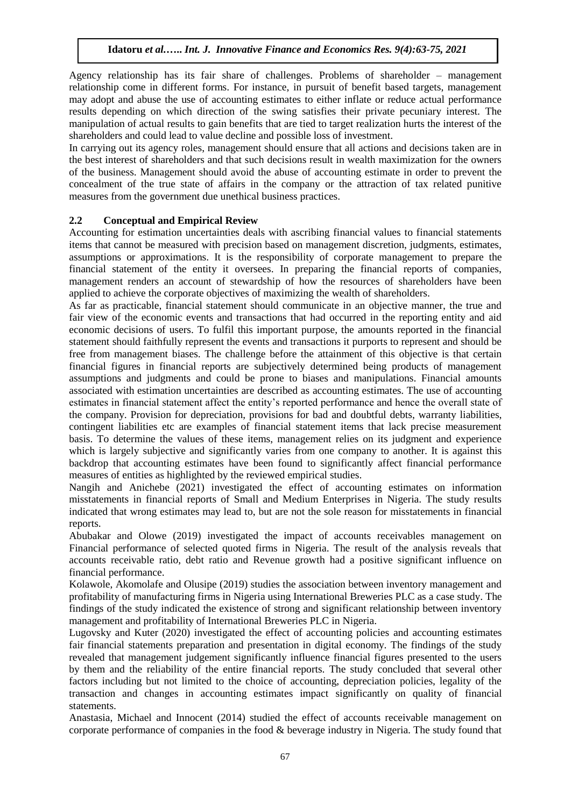Agency relationship has its fair share of challenges. Problems of shareholder – management relationship come in different forms. For instance, in pursuit of benefit based targets, management may adopt and abuse the use of accounting estimates to either inflate or reduce actual performance results depending on which direction of the swing satisfies their private pecuniary interest. The manipulation of actual results to gain benefits that are tied to target realization hurts the interest of the shareholders and could lead to value decline and possible loss of investment.

In carrying out its agency roles, management should ensure that all actions and decisions taken are in the best interest of shareholders and that such decisions result in wealth maximization for the owners of the business. Management should avoid the abuse of accounting estimate in order to prevent the concealment of the true state of affairs in the company or the attraction of tax related punitive measures from the government due unethical business practices.

# **2.2 Conceptual and Empirical Review**

Accounting for estimation uncertainties deals with ascribing financial values to financial statements items that cannot be measured with precision based on management discretion, judgments, estimates, assumptions or approximations. It is the responsibility of corporate management to prepare the financial statement of the entity it oversees. In preparing the financial reports of companies, management renders an account of stewardship of how the resources of shareholders have been applied to achieve the corporate objectives of maximizing the wealth of shareholders.

As far as practicable, financial statement should communicate in an objective manner, the true and fair view of the economic events and transactions that had occurred in the reporting entity and aid economic decisions of users. To fulfil this important purpose, the amounts reported in the financial statement should faithfully represent the events and transactions it purports to represent and should be free from management biases. The challenge before the attainment of this objective is that certain financial figures in financial reports are subjectively determined being products of management assumptions and judgments and could be prone to biases and manipulations. Financial amounts associated with estimation uncertainties are described as accounting estimates. The use of accounting estimates in financial statement affect the entity's reported performance and hence the overall state of the company. Provision for depreciation, provisions for bad and doubtful debts, warranty liabilities, contingent liabilities etc are examples of financial statement items that lack precise measurement basis. To determine the values of these items, management relies on its judgment and experience which is largely subjective and significantly varies from one company to another. It is against this backdrop that accounting estimates have been found to significantly affect financial performance measures of entities as highlighted by the reviewed empirical studies.

Nangih and Anichebe (2021) investigated the effect of accounting estimates on information misstatements in financial reports of Small and Medium Enterprises in Nigeria. The study results indicated that wrong estimates may lead to, but are not the sole reason for misstatements in financial reports.

Abubakar and Olowe (2019) investigated the impact of accounts receivables management on Financial performance of selected quoted firms in Nigeria. The result of the analysis reveals that accounts receivable ratio, debt ratio and Revenue growth had a positive significant influence on financial performance.

Kolawole, Akomolafe and Olusipe (2019) studies the association between inventory management and profitability of manufacturing firms in Nigeria using International Breweries PLC as a case study. The findings of the study indicated the existence of strong and significant relationship between inventory management and profitability of International Breweries PLC in Nigeria.

Lugovsky and Kuter (2020) investigated the effect of accounting policies and accounting estimates fair financial statements preparation and presentation in digital economy. The findings of the study revealed that management judgement significantly influence financial figures presented to the users by them and the reliability of the entire financial reports. The study concluded that several other factors including but not limited to the choice of accounting, depreciation policies, legality of the transaction and changes in accounting estimates impact significantly on quality of financial statements.

Anastasia, Michael and Innocent (2014) studied the effect of accounts receivable management on corporate performance of companies in the food & beverage industry in Nigeria. The study found that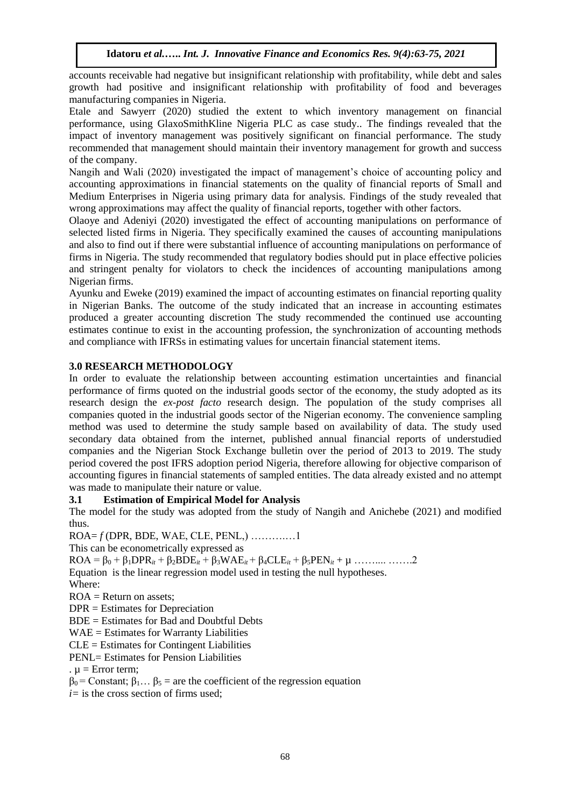accounts receivable had negative but insignificant relationship with profitability, while debt and sales growth had positive and insignificant relationship with profitability of food and beverages manufacturing companies in Nigeria.

Etale and Sawyerr (2020) studied the extent to which inventory management on financial performance, using GlaxoSmithKline Nigeria PLC as case study.. The findings revealed that the impact of inventory management was positively significant on financial performance. The study recommended that management should maintain their inventory management for growth and success of the company.

Nangih and Wali (2020) investigated the impact of management's choice of accounting policy and accounting approximations in financial statements on the quality of financial reports of Small and Medium Enterprises in Nigeria using primary data for analysis. Findings of the study revealed that wrong approximations may affect the quality of financial reports, together with other factors.

Olaoye and Adeniyi (2020) investigated the effect of accounting manipulations on performance of selected listed firms in Nigeria. They specifically examined the causes of accounting manipulations and also to find out if there were substantial influence of accounting manipulations on performance of firms in Nigeria. The study recommended that regulatory bodies should put in place effective policies and stringent penalty for violators to check the incidences of accounting manipulations among Nigerian firms.

Ayunku and Eweke (2019) examined the impact of accounting estimates on financial reporting quality in Nigerian Banks. The outcome of the study indicated that an increase in accounting estimates produced a greater accounting discretion The study recommended the continued use accounting estimates continue to exist in the accounting profession, the synchronization of accounting methods and compliance with IFRSs in estimating values for uncertain financial statement items.

# **3.0 RESEARCH METHODOLOGY**

In order to evaluate the relationship between accounting estimation uncertainties and financial performance of firms quoted on the industrial goods sector of the economy, the study adopted as its research design the *ex-post facto* research design. The population of the study comprises all companies quoted in the industrial goods sector of the Nigerian economy. The convenience sampling method was used to determine the study sample based on availability of data. The study used secondary data obtained from the internet, published annual financial reports of understudied companies and the Nigerian Stock Exchange bulletin over the period of 2013 to 2019. The study period covered the post IFRS adoption period Nigeria, therefore allowing for objective comparison of accounting figures in financial statements of sampled entities. The data already existed and no attempt was made to manipulate their nature or value.

# **3.1 Estimation of Empirical Model for Analysis**

The model for the study was adopted from the study of Nangih and Anichebe (2021) and modified thus.

ROA= *f* (DPR, BDE, WAE, CLE, PENL,) ……….…1

This can be econometrically expressed as

 $ROA = \beta_0 + \beta_1 DPR_{it} + \beta_2 BDE_{it} + \beta_3 WAE_{it} + \beta_4 CLE_{it} + \beta_5 PEN_{it} + \mu$  .......... …….2 Equation is the linear regression model used in testing the null hypotheses. Where:

 $ROA = Return on assets$ ;

DPR = Estimates for Depreciation

BDE = Estimates for Bad and Doubtful Debts

WAE = Estimates for Warranty Liabilities

CLE = Estimates for Contingent Liabilities

PENL= Estimates for Pension Liabilities

.  $\mu$  = Error term;

 $β<sub>0</sub> = Constant; β<sub>1</sub>... β<sub>5</sub> = are the coefficient of the regression equation$ 

*i=* is the cross section of firms used;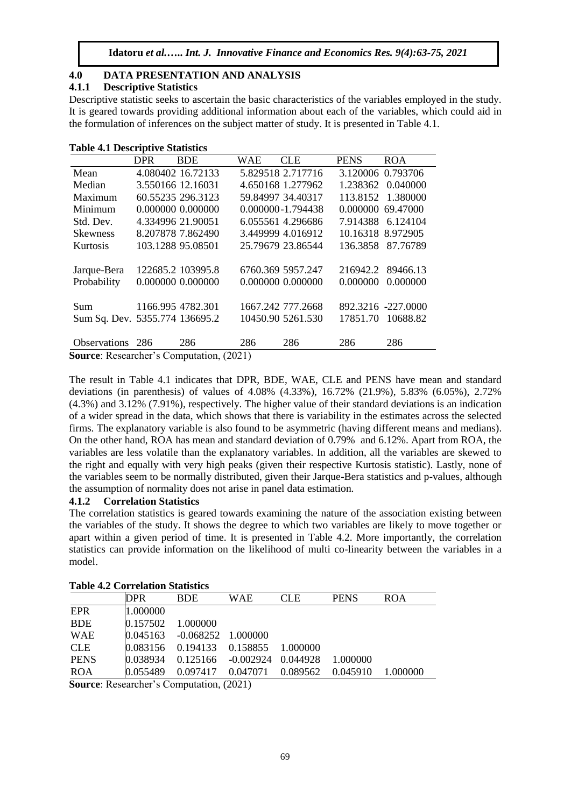# **4.0 DATA PRESENTATION AND ANALYSIS**

#### **4.1.1 Descriptive Statistics**

Descriptive statistic seeks to ascertain the basic characteristics of the variables employed in the study. It is geared towards providing additional information about each of the variables, which could aid in the formulation of inferences on the subject matter of study. It is presented in Table 4.1.

| <b>Table 4.1 Descriptive Statistics</b> |  |
|-----------------------------------------|--|
|-----------------------------------------|--|

|                                | <b>DPR</b> | <b>BDE</b>        | WAE     | CLE.              | <b>PENS</b> | <b>ROA</b>         |
|--------------------------------|------------|-------------------|---------|-------------------|-------------|--------------------|
| Mean                           |            | 4.080402 16.72133 |         | 5.829518 2.717716 |             | 3.120006 0.793706  |
| Median                         |            | 3.550166 12.16031 |         | 4.650168 1.277962 |             | 1.238362 0.040000  |
| Maximum                        |            | 60.55235 296.3123 |         | 59.84997 34.40317 |             | 113.8152 1.380000  |
| Minimum                        |            | 0.000000 0.000000 |         | 0.000000-1.794438 |             | 0.000000 69.47000  |
| Std. Dev.                      |            | 4.334996 21.90051 |         | 6.055561 4.296686 |             | 7.914388 6.124104  |
| <b>Skewness</b>                |            | 8.207878 7.862490 |         | 3.449999 4.016912 |             | 10.16318 8.972905  |
| <b>Kurtosis</b>                |            | 103.1288 95.08501 |         | 25.79679 23.86544 |             | 136.3858 87.76789  |
|                                |            |                   |         |                   |             |                    |
| Jarque-Bera                    |            | 122685.2 103995.8 |         | 6760.369 5957.247 | 216942.2    | 89466.13           |
| Probability                    |            | 0.000000 0.000000 |         | 0.000000 0.000000 | 0.000000    | 0.000000           |
|                                |            |                   |         |                   |             |                    |
| Sum.                           |            | 1166.995 4782.301 |         | 1667.242 777.2668 |             | 892.3216 -227.0000 |
| Sum Sq. Dev. 5355.774 136695.2 |            |                   |         | 10450.90 5261.530 | 17851.70    | 10688.82           |
|                                |            |                   |         |                   |             |                    |
| Observations 286               |            | 286               | 286     | 286               | 286         | 286                |
| $\alpha$ n 1 $\alpha$ i        |            |                   | (0.021) |                   |             |                    |

**Source**: Researcher's Computation, (2021)

The result in Table 4.1 indicates that DPR, BDE, WAE, CLE and PENS have mean and standard deviations (in parenthesis) of values of 4.08% (4.33%), 16.72% (21.9%), 5.83% (6.05%), 2.72% (4.3%) and 3.12% (7.91%), respectively. The higher value of their standard deviations is an indication of a wider spread in the data, which shows that there is variability in the estimates across the selected firms. The explanatory variable is also found to be asymmetric (having different means and medians). On the other hand, ROA has mean and standard deviation of 0.79% and 6.12%. Apart from ROA, the variables are less volatile than the explanatory variables. In addition, all the variables are skewed to the right and equally with very high peaks (given their respective Kurtosis statistic). Lastly, none of the variables seem to be normally distributed, given their Jarque-Bera statistics and p-values, although the assumption of normality does not arise in panel data estimation.

#### **4.1.2 Correlation Statistics**

The correlation statistics is geared towards examining the nature of the association existing between the variables of the study. It shows the degree to which two variables are likely to move together or apart within a given period of time. It is presented in Table 4.2. More importantly, the correlation statistics can provide information on the likelihood of multi co-linearity between the variables in a model.

| Table 4.2 Correlation Statistics                                                                                                                       |            |                                                                          |            |            |             |            |
|--------------------------------------------------------------------------------------------------------------------------------------------------------|------------|--------------------------------------------------------------------------|------------|------------|-------------|------------|
|                                                                                                                                                        | <b>DPR</b> | <b>BDE</b>                                                               | <b>WAE</b> | <b>CLE</b> | <b>PENS</b> | <b>ROA</b> |
| <b>EPR</b>                                                                                                                                             | 1.000000   |                                                                          |            |            |             |            |
| <b>BDE</b>                                                                                                                                             | 0.157502   | 1.000000                                                                 |            |            |             |            |
| <b>WAE</b>                                                                                                                                             |            | $[0.045163 \quad -0.068252 \quad 1.000000]$                              |            |            |             |            |
| <b>CLE</b>                                                                                                                                             |            | $[0.083156 \quad 0.194133 \quad 0.158855]$                               |            | - 1.000000 |             |            |
| <b>PENS</b>                                                                                                                                            |            | $[0.038934 \quad 0.125166 \quad -0.002924 \quad 0.044928 \quad 1.000000$ |            |            |             |            |
| <b>ROA</b>                                                                                                                                             |            | $[0.055489 \quad 0.097417 \quad 0.047071]$                               |            | 0.089562   | 0.045910    | 1.000000   |
| $S_{\alpha\mu\nu\alpha\alpha}$ , $D_{\alpha\alpha\alpha\mu}$ $\partial_{\alpha}P_{\alpha}$ $\partial_{\alpha}P_{\alpha}$ $\partial_{\alpha}P_{\alpha}$ |            |                                                                          |            |            |             |            |

# **Table 4.2 Correlation Statistics**

**Source**: Researcher's Computation, (2021)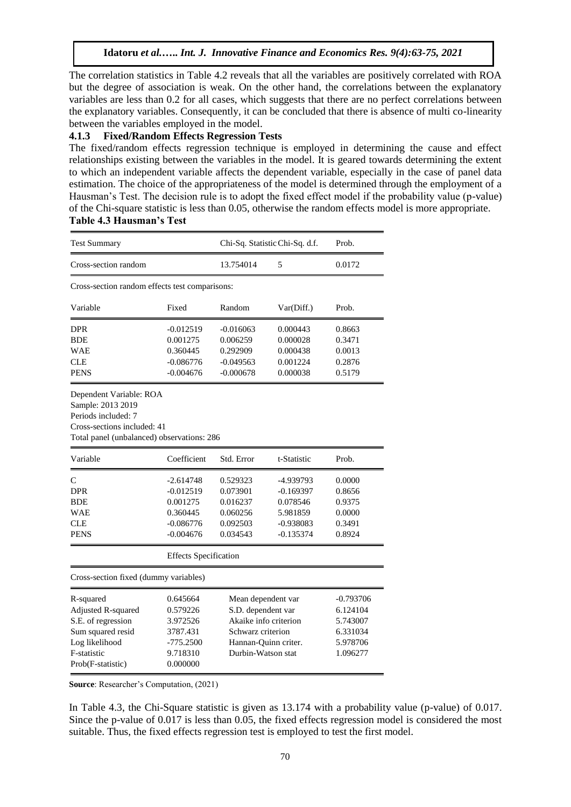The correlation statistics in Table 4.2 reveals that all the variables are positively correlated with ROA but the degree of association is weak. On the other hand, the correlations between the explanatory variables are less than 0.2 for all cases, which suggests that there are no perfect correlations between the explanatory variables. Consequently, it can be concluded that there is absence of multi co-linearity between the variables employed in the model.

#### **4.1.3 Fixed/Random Effects Regression Tests**

The fixed/random effects regression technique is employed in determining the cause and effect relationships existing between the variables in the model. It is geared towards determining the extent to which an independent variable affects the dependent variable, especially in the case of panel data estimation. The choice of the appropriateness of the model is determined through the employment of a Hausman's Test. The decision rule is to adopt the fixed effect model if the probability value (p-value) of the Chi-square statistic is less than 0.05, otherwise the random effects model is more appropriate. **Table 4.3 Hausman's Test** 

| <b>Test Summary</b>                                                                                                                              |                                                                                     | Chi-Sq. Statistic Chi-Sq. d.f.                                                                                                       |                                                                                | Prob.                                                                 |  |
|--------------------------------------------------------------------------------------------------------------------------------------------------|-------------------------------------------------------------------------------------|--------------------------------------------------------------------------------------------------------------------------------------|--------------------------------------------------------------------------------|-----------------------------------------------------------------------|--|
| Cross-section random                                                                                                                             |                                                                                     | 13.754014                                                                                                                            | 5                                                                              | 0.0172                                                                |  |
| Cross-section random effects test comparisons:                                                                                                   |                                                                                     |                                                                                                                                      |                                                                                |                                                                       |  |
| Variable                                                                                                                                         | Fixed                                                                               | Random                                                                                                                               | Var(Diff.)                                                                     | Prob.                                                                 |  |
| <b>DPR</b><br><b>BDE</b><br>WAE<br><b>CLE</b><br><b>PENS</b>                                                                                     | $-0.012519$<br>0.001275<br>0.360445<br>$-0.086776$<br>$-0.004676$                   | $-0.016063$<br>0.006259<br>0.292909<br>$-0.049563$<br>$-0.000678$                                                                    | 0.000443<br>0.000028<br>0.000438<br>0.001224<br>0.000038                       | 0.8663<br>0.3471<br>0.0013<br>0.2876<br>0.5179                        |  |
| Dependent Variable: ROA<br>Sample: 2013 2019<br>Periods included: 7<br>Cross-sections included: 41<br>Total panel (unbalanced) observations: 286 |                                                                                     |                                                                                                                                      |                                                                                |                                                                       |  |
| Variable                                                                                                                                         | Coefficient                                                                         | Std. Error                                                                                                                           | t-Statistic                                                                    | Prob.                                                                 |  |
| C<br>DPR<br><b>BDE</b><br>WAE<br><b>CLE</b><br><b>PENS</b>                                                                                       | $-2.614748$<br>$-0.012519$<br>0.001275<br>0.360445<br>$-0.086776$<br>$-0.004676$    | 0.529323<br>0.073901<br>0.016237<br>0.060256<br>0.092503<br>0.034543                                                                 | -4.939793<br>$-0.169397$<br>0.078546<br>5.981859<br>$-0.938083$<br>$-0.135374$ | 0.0000<br>0.8656<br>0.9375<br>0.0000<br>0.3491<br>0.8924              |  |
|                                                                                                                                                  | <b>Effects Specification</b>                                                        |                                                                                                                                      |                                                                                |                                                                       |  |
| Cross-section fixed (dummy variables)                                                                                                            |                                                                                     |                                                                                                                                      |                                                                                |                                                                       |  |
| R-squared<br>Adjusted R-squared<br>S.E. of regression<br>Sum squared resid<br>Log likelihood<br>F-statistic<br>Prob(F-statistic)                 | 0.645664<br>0.579226<br>3.972526<br>3787.431<br>$-775.2500$<br>9.718310<br>0.000000 | Mean dependent var<br>S.D. dependent var<br>Akaike info criterion<br>Schwarz criterion<br>Hannan-Quinn criter.<br>Durbin-Watson stat |                                                                                | -0.793706<br>6.124104<br>5.743007<br>6.331034<br>5.978706<br>1.096277 |  |

**Source**: Researcher's Computation, (2021)

In Table 4.3, the Chi-Square statistic is given as 13.174 with a probability value (p-value) of 0.017. Since the p-value of 0.017 is less than 0.05, the fixed effects regression model is considered the most suitable. Thus, the fixed effects regression test is employed to test the first model.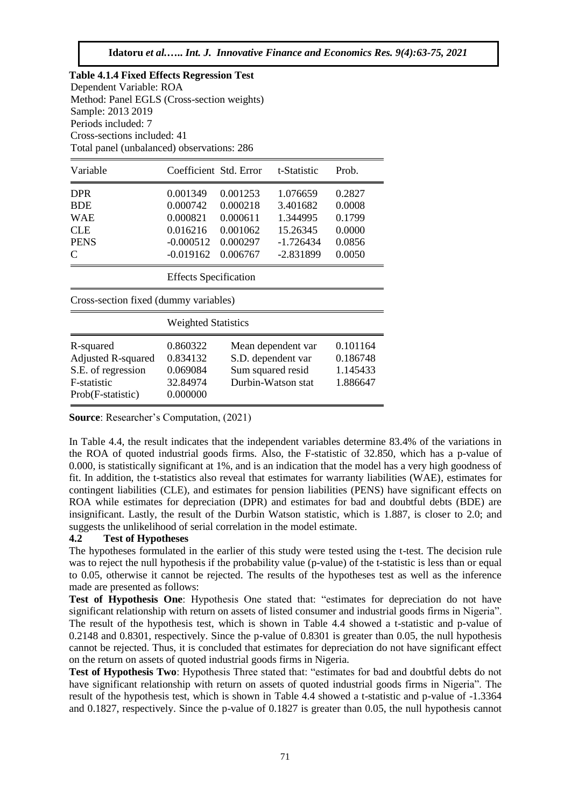|                             | <b>Table 4.1.4 Fixed Effects Regression Test</b> |       |
|-----------------------------|--------------------------------------------------|-------|
| Dependent Variable: ROA     |                                                  |       |
|                             | Method: Panel EGLS (Cross-section weights)       |       |
| Sample: 2013 2019           |                                                  |       |
| Periods included: 7         |                                                  |       |
| Cross-sections included: 41 |                                                  |       |
|                             | Total panel (unbalanced) observations: 286       |       |
| Variable                    | Coefficient Std. Error t-Statistic               | Prob. |
|                             |                                                  |       |

| <b>DPR</b><br><b>BDE</b><br><b>WAE</b><br><b>CLE</b><br><b>PENS</b>                              | 0.001349<br>0.000742<br>0.000821<br>0.016216<br>$-0.000512$ | 0.001253<br>0.000218<br>0.000611<br>0.001062<br>0.000297                            | 1.076659<br>3.401682<br>1.344995<br>15.26345<br>$-1.726434$ | 0.2827<br>0.0008<br>0.1799<br>0.0000<br>0.0856 |  |
|--------------------------------------------------------------------------------------------------|-------------------------------------------------------------|-------------------------------------------------------------------------------------|-------------------------------------------------------------|------------------------------------------------|--|
| C                                                                                                | $-0.019162$                                                 | 0.006767                                                                            | -2.831899                                                   | 0.0050                                         |  |
| <b>Effects</b> Specification                                                                     |                                                             |                                                                                     |                                                             |                                                |  |
| Cross-section fixed (dummy variables)                                                            |                                                             |                                                                                     |                                                             |                                                |  |
| <b>Weighted Statistics</b>                                                                       |                                                             |                                                                                     |                                                             |                                                |  |
| R-squared<br><b>Adjusted R-squared</b><br>S.E. of regression<br>F-statistic<br>Prob(F-statistic) | 0.860322<br>0.834132<br>0.069084<br>32.84974<br>0.000000    | Mean dependent var<br>S.D. dependent var<br>Sum squared resid<br>Durbin-Watson stat |                                                             | 0.101164<br>0.186748<br>1.145433<br>1.886647   |  |

**Source**: Researcher's Computation, (2021)

In Table 4.4, the result indicates that the independent variables determine 83.4% of the variations in the ROA of quoted industrial goods firms. Also, the F-statistic of 32.850, which has a p-value of 0.000, is statistically significant at 1%, and is an indication that the model has a very high goodness of fit. In addition, the t-statistics also reveal that estimates for warranty liabilities (WAE), estimates for contingent liabilities (CLE), and estimates for pension liabilities (PENS) have significant effects on ROA while estimates for depreciation (DPR) and estimates for bad and doubtful debts (BDE) are insignificant. Lastly, the result of the Durbin Watson statistic, which is 1.887, is closer to 2.0; and suggests the unlikelihood of serial correlation in the model estimate.

# **4.2 Test of Hypotheses**

The hypotheses formulated in the earlier of this study were tested using the t-test. The decision rule was to reject the null hypothesis if the probability value (p-value) of the t-statistic is less than or equal to 0.05, otherwise it cannot be rejected. The results of the hypotheses test as well as the inference made are presented as follows:

**Test of Hypothesis One**: Hypothesis One stated that: "estimates for depreciation do not have significant relationship with return on assets of listed consumer and industrial goods firms in Nigeria". The result of the hypothesis test, which is shown in Table 4.4 showed a t-statistic and p-value of 0.2148 and 0.8301, respectively. Since the p-value of 0.8301 is greater than 0.05, the null hypothesis cannot be rejected. Thus, it is concluded that estimates for depreciation do not have significant effect on the return on assets of quoted industrial goods firms in Nigeria.

**Test of Hypothesis Two**: Hypothesis Three stated that: "estimates for bad and doubtful debts do not have significant relationship with return on assets of quoted industrial goods firms in Nigeria". The result of the hypothesis test, which is shown in Table 4.4 showed a t-statistic and p-value of -1.3364 and 0.1827, respectively. Since the p-value of 0.1827 is greater than 0.05, the null hypothesis cannot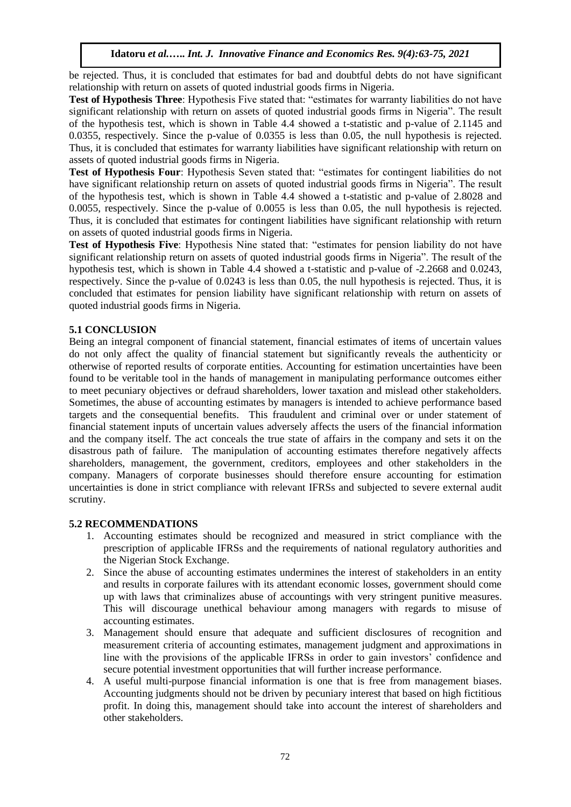be rejected. Thus, it is concluded that estimates for bad and doubtful debts do not have significant relationship with return on assets of quoted industrial goods firms in Nigeria.

**Test of Hypothesis Three**: Hypothesis Five stated that: "estimates for warranty liabilities do not have significant relationship with return on assets of quoted industrial goods firms in Nigeria". The result of the hypothesis test, which is shown in Table 4.4 showed a t-statistic and p-value of 2.1145 and 0.0355, respectively. Since the p-value of 0.0355 is less than 0.05, the null hypothesis is rejected. Thus, it is concluded that estimates for warranty liabilities have significant relationship with return on assets of quoted industrial goods firms in Nigeria.

**Test of Hypothesis Four**: Hypothesis Seven stated that: "estimates for contingent liabilities do not have significant relationship return on assets of quoted industrial goods firms in Nigeria". The result of the hypothesis test, which is shown in Table 4.4 showed a t-statistic and p-value of 2.8028 and 0.0055, respectively. Since the p-value of 0.0055 is less than 0.05, the null hypothesis is rejected. Thus, it is concluded that estimates for contingent liabilities have significant relationship with return on assets of quoted industrial goods firms in Nigeria.

**Test of Hypothesis Five**: Hypothesis Nine stated that: "estimates for pension liability do not have significant relationship return on assets of quoted industrial goods firms in Nigeria". The result of the hypothesis test, which is shown in Table 4.4 showed a t-statistic and p-value of -2.2668 and 0.0243, respectively. Since the p-value of 0.0243 is less than 0.05, the null hypothesis is rejected. Thus, it is concluded that estimates for pension liability have significant relationship with return on assets of quoted industrial goods firms in Nigeria.

# **5.1 CONCLUSION**

Being an integral component of financial statement, financial estimates of items of uncertain values do not only affect the quality of financial statement but significantly reveals the authenticity or otherwise of reported results of corporate entities. Accounting for estimation uncertainties have been found to be veritable tool in the hands of management in manipulating performance outcomes either to meet pecuniary objectives or defraud shareholders, lower taxation and mislead other stakeholders. Sometimes, the abuse of accounting estimates by managers is intended to achieve performance based targets and the consequential benefits. This fraudulent and criminal over or under statement of financial statement inputs of uncertain values adversely affects the users of the financial information and the company itself. The act conceals the true state of affairs in the company and sets it on the disastrous path of failure. The manipulation of accounting estimates therefore negatively affects shareholders, management, the government, creditors, employees and other stakeholders in the company. Managers of corporate businesses should therefore ensure accounting for estimation uncertainties is done in strict compliance with relevant IFRSs and subjected to severe external audit scrutiny.

#### **5.2 RECOMMENDATIONS**

- 1. Accounting estimates should be recognized and measured in strict compliance with the prescription of applicable IFRSs and the requirements of national regulatory authorities and the Nigerian Stock Exchange.
- 2. Since the abuse of accounting estimates undermines the interest of stakeholders in an entity and results in corporate failures with its attendant economic losses, government should come up with laws that criminalizes abuse of accountings with very stringent punitive measures. This will discourage unethical behaviour among managers with regards to misuse of accounting estimates.
- 3. Management should ensure that adequate and sufficient disclosures of recognition and measurement criteria of accounting estimates, management judgment and approximations in line with the provisions of the applicable IFRSs in order to gain investors' confidence and secure potential investment opportunities that will further increase performance.
- 4. A useful multi-purpose financial information is one that is free from management biases. Accounting judgments should not be driven by pecuniary interest that based on high fictitious profit. In doing this, management should take into account the interest of shareholders and other stakeholders.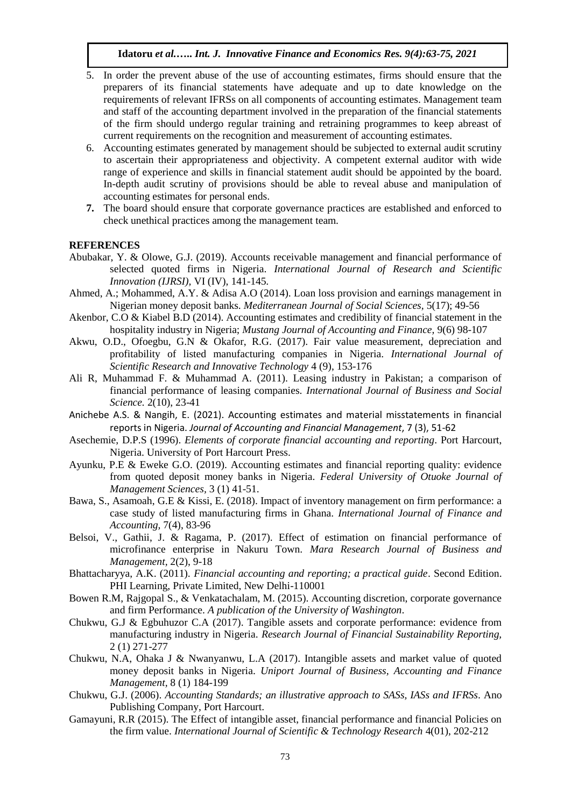- 5. In order the prevent abuse of the use of accounting estimates, firms should ensure that the preparers of its financial statements have adequate and up to date knowledge on the requirements of relevant IFRSs on all components of accounting estimates. Management team and staff of the accounting department involved in the preparation of the financial statements of the firm should undergo regular training and retraining programmes to keep abreast of current requirements on the recognition and measurement of accounting estimates.
- 6. Accounting estimates generated by management should be subjected to external audit scrutiny to ascertain their appropriateness and objectivity. A competent external auditor with wide range of experience and skills in financial statement audit should be appointed by the board. In-depth audit scrutiny of provisions should be able to reveal abuse and manipulation of accounting estimates for personal ends.
- **7.** The board should ensure that corporate governance practices are established and enforced to check unethical practices among the management team.

#### **REFERENCES**

- Abubakar, Y. & Olowe, G.J. (2019). Accounts receivable management and financial performance of selected quoted firms in Nigeria. *International Journal of Research and Scientific Innovation (IJRSI),* VI (IV), 141-145*.*
- Ahmed, A.; Mohammed, A.Y. & Adisa A.O (2014). Loan loss provision and earnings management in Nigerian money deposit banks. *Mediterranean Journal of Social Sciences,* 5(17); 49-56
- Akenbor, C.O & Kiabel B.D (2014). Accounting estimates and credibility of financial statement in the hospitality industry in Nigeria; *Mustang Journal of Accounting and Finance,* 9(6) 98-107
- Akwu, O.D., Ofoegbu, G.N & Okafor, R.G. (2017). Fair value measurement, depreciation and profitability of listed manufacturing companies in Nigeria. *International Journal of Scientific Research and Innovative Technology* 4 (9), 153-176
- Ali R, Muhammad F. & Muhammad A. (2011). Leasing industry in Pakistan; a comparison of financial performance of leasing companies. *International Journal of Business and Social Science.* 2(10), 23-41
- Anichebe A.S. & Nangih, E. (2021). Accounting estimates and material misstatements in financial reports in Nigeria. *Journal of Accounting and Financial Management*, 7 (3), 51-62
- Asechemie, D.P.S (1996). *Elements of corporate financial accounting and reporting*. Port Harcourt, Nigeria. University of Port Harcourt Press.
- Ayunku, P.E & Eweke G.O. (2019). Accounting estimates and financial reporting quality: evidence from quoted deposit money banks in Nigeria. *Federal University of Otuoke Journal of Management Sciences,* 3 (1) 41-51.
- Bawa, S., Asamoah, G.E & Kissi, E. (2018). Impact of inventory management on firm performance: a case study of listed manufacturing firms in Ghana. *International Journal of Finance and Accounting,* 7(4), 83-96
- Belsoi, V., Gathii, J. & Ragama, P. (2017). Effect of estimation on financial performance of microfinance enterprise in Nakuru Town. *Mara Research Journal of Business and Management,* 2(2), 9-18
- Bhattacharyya, A.K. (2011). *Financial accounting and reporting; a practical guide*. Second Edition. PHI Learning, Private Limited, New Delhi-110001
- Bowen R.M, Rajgopal S., & Venkatachalam, M. (2015). Accounting discretion, corporate governance and firm Performance. *A publication of the University of Washington*.
- Chukwu, G.J & Egbuhuzor C.A (2017). Tangible assets and corporate performance: evidence from manufacturing industry in Nigeria. *Research Journal of Financial Sustainability Reporting,*  2 (1) 271-277
- Chukwu, N.A, Ohaka J & Nwanyanwu, L.A (2017). Intangible assets and market value of quoted money deposit banks in Nigeria. *Uniport Journal of Business, Accounting and Finance Management,* 8 (1) 184-199
- Chukwu, G.J. (2006). *Accounting Standards; an illustrative approach to SASs, IASs and IFRSs*. Ano Publishing Company, Port Harcourt.
- Gamayuni, R.R (2015). The Effect of intangible asset, financial performance and financial Policies on the firm value. *International Journal of Scientific & Technology Research* 4(01), 202-212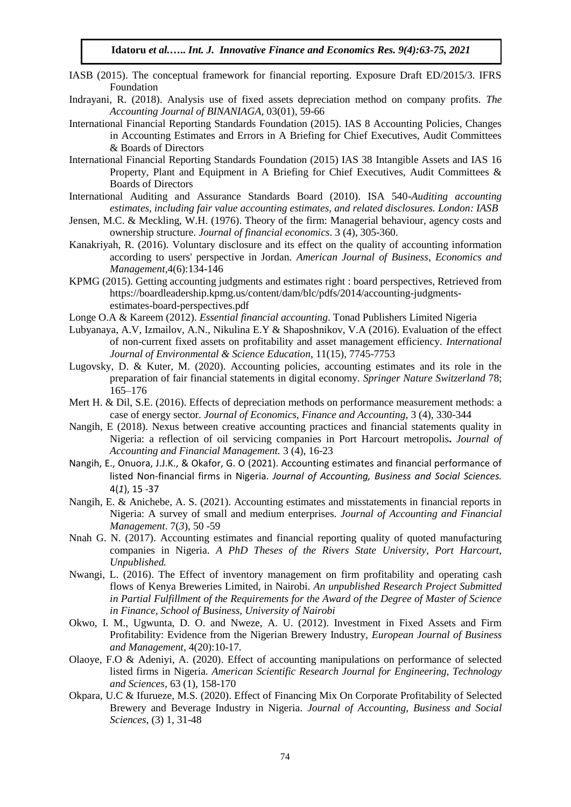- IASB (2015). The conceptual framework for financial reporting. Exposure Draft ED/2015/3. IFRS Foundation
- Indrayani, R. (2018). Analysis use of fixed assets depreciation method on company profits. *The Accounting Journal of BINANIAGA,* 03(01), 59-66
- International Financial Reporting Standards Foundation (2015). IAS 8 Accounting Policies, Changes in Accounting Estimates and Errors in A Briefing for Chief Executives, Audit Committees & Boards of Directors
- International Financial Reporting Standards Foundation (2015) IAS 38 Intangible Assets and IAS 16 Property, Plant and Equipment in A Briefing for Chief Executives, Audit Committees & Boards of Directors
- International Auditing and Assurance Standards Board (2010). ISA 540-*Auditing accounting estimates, including fair value accounting estimates, and related disclosures. London: IASB*
- Jensen, M.C. & Meckling, W.H. (1976). Theory of the firm: Managerial behaviour, agency costs and ownership structure. *Journal of financial economics*. 3 (4), 305-360.
- Kanakriyah, R. (2016). Voluntary disclosure and its effect on the quality of accounting information according to users' perspective in Jordan. *American Journal of Business, Economics and Management,*4(6):134-146
- KPMG (2015). Getting accounting judgments and estimates right : board perspectives, Retrieved from https://boardleadership.kpmg.us/content/dam/blc/pdfs/2014/accounting-judgmentsestimates-board-perspectives.pdf
- Longe O.A & Kareem (2012). *Essential financial accounting*. Tonad Publishers Limited Nigeria
- Lubyanaya, A.V, Izmailov, A.N., Nikulina E.Y & Shaposhnikov, V.A (2016). Evaluation of the effect of non-current fixed assets on profitability and asset management efficiency. *International Journal of Environmental & Science Education,* 11(15), 7745-7753
- Lugovsky, D. & Kuter, M. (2020). Accounting policies, accounting estimates and its role in the preparation of fair financial statements in digital economy. *Springer Nature Switzerland* 78; 165–176
- Mert H. & Dil, S.E. (2016). Effects of depreciation methods on performance measurement methods: a case of energy sector. *Journal of Economics, Finance and Accounting,* 3 (4), 330-344
- Nangih, E (2018). Nexus between creative accounting practices and financial statements quality in Nigeria: a reflection of oil servicing companies in Port Harcourt metropolis**.** *Journal of Accounting and Financial Management.* 3 (4), 16-23
- Nangih, E., Onuora, J.J.K., & Okafor, G. O (2021). Accounting estimates and financial performance of listed Non-financial firms in Nigeria. *Journal of Accounting, Business and Social Sciences.* 4(*1*), 15 -37
- Nangih, E. & Anichebe, A. S. (2021). Accounting estimates and misstatements in financial reports in Nigeria: A survey of small and medium enterprises. *Journal of Accounting and Financial Management*. 7(*3*), 50 -59
- Nnah G. N. (2017). Accounting estimates and financial reporting quality of quoted manufacturing companies in Nigeria. *A PhD Theses of the Rivers State University, Port Harcourt, Unpublished.*
- Nwangi, L. (2016). The Effect of inventory management on firm profitability and operating cash flows of Kenya Breweries Limited, in Nairobi. *An unpublished Research Project Submitted in Partial Fulfillment of the Requirements for the Award of the Degree of Master of Science in Finance, School of Business, University of Nairobi*
- Okwo, I. M., Ugwunta, D. O. and Nweze, A. U. (2012). Investment in Fixed Assets and Firm Profitability: Evidence from the Nigerian Brewery Industry, *European Journal of Business and Management,* 4(20):10-17*.*
- Olaoye, F.O & Adeniyi, A. (2020). Effect of accounting manipulations on performance of selected listed firms in Nigeria. *American Scientific Research Journal for Engineering, Technology and Sciences,* 63 (1), 158-170
- Okpara, U.C & Ifurueze, M.S. (2020). Effect of Financing Mix On Corporate Profitability of Selected Brewery and Beverage Industry in Nigeria. *Journal of Accounting, Business and Social Sciences,* (3) 1, 31-48